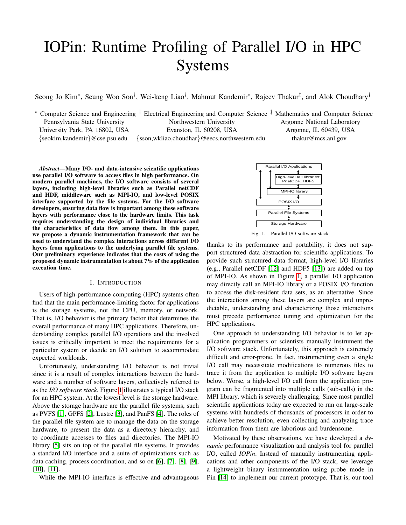# IOPin: Runtime Profiling of Parallel I/O in HPC Systems

Seong Jo Kim<sup>∗</sup>, Seung Woo Son<sup>†</sup>, Wei-keng Liao<sup>†</sup>, Mahmut Kandemir<sup>∗</sup>, Rajeev Thakur<sup>‡</sup>, and Alok Choudhary<sup>†</sup>

<sup>∗</sup> Computer Science and Engineering † Electrical Engineering and Computer Science ‡ Mathematics and Computer Science

Pennsylvania State University

Northwestern University Evanston, IL 60208, USA

University Park, PA 16802, USA {seokim,kandemir}@cse.psu.edu

{sson,wkliao,choudhar}@eecs.northwestern.edu

Argonne National Laboratory Argonne, IL 60439, USA thakur@mcs.anl.gov

*Abstract*—Many I/O- and data-intensive scientific applications use parallel I/O software to access files in high performance. On modern parallel machines, the I/O software consists of several layers, including high-level libraries such as Parallel netCDF and HDF, middleware such as MPI-IO, and low-level POSIX interface supported by the file systems. For the I/O software developers, ensuring data flow is important among these software layers with performance close to the hardware limits. This task requires understanding the design of individual libraries and the characteristics of data flow among them. In this paper, we propose a dynamic instrumentation framework that can be used to understand the complex interactions across different I/O layers from applications to the underlying parallel file systems. Our preliminary experience indicates that the costs of using the proposed dynamic instrumentation is about 7% of the application execution time.

# I. INTRODUCTION

Users of high-performance computing (HPC) systems often find that the main performance-limiting factor for applications is the storage systems, not the CPU, memory, or network. That is, I/O behavior is the primary factor that determines the overall performance of many HPC applications. Therefore, understanding complex parallel I/O operations and the involved issues is critically important to meet the requirements for a particular system or decide an I/O solution to accommodate expected workloads.

Unfortunately, understanding I/O behavior is not trivial since it is a result of complex interactions between the hardware and a number of software layers, collectively referred to as the *I/O software stack*. Figure [1](#page-0-0) illustrates a typical I/O stack for an HPC system. At the lowest level is the storage hardware. Above the storage hardware are the parallel file systems, such as PVFS [\[1\]](#page-5-0), GPFS [\[2\]](#page-5-1), Lustre [\[3\]](#page-5-2), and PanFS [\[4\]](#page-5-3). The roles of the parallel file system are to manage the data on the storage hardware, to present the data as a directory hierarchy, and to coordinate accesses to files and directories. The MPI-IO library [\[5\]](#page-5-4) sits on top of the parallel file systems. It provides a standard I/O interface and a suite of optimizations such as data caching, process coordination, and so on [\[6\]](#page-5-5), [\[7\]](#page-5-6), [\[8\]](#page-5-7), [\[9\]](#page-5-8), [\[10\]](#page-5-9), [\[11\]](#page-5-10).

While the MPI-IO interface is effective and advantageous



<span id="page-0-0"></span>Fig. 1. Parallel I/O software stack

thanks to its performance and portability, it does not support structured data abstraction for scientific applications. To provide such structured data format, high-level I/O libraries (e.g., Parallel netCDF [\[12\]](#page-5-11) and HDF5 [\[13\]](#page-5-12)) are added on top of MPI-IO. As shown in Figure [1,](#page-0-0) a parallel I/O application may directly call an MPI-IO library or a POSIX I/O function to access the disk-resident data sets, as an alternative. Since the interactions among these layers are complex and unpredictable, understanding and characterizing those interactions must precede performance tuning and optimization for the HPC applications.

One approach to understanding I/O behavior is to let application programmers or scientists manually instrument the I/O software stack. Unfortunately, this approach is extremely difficult and error-prone. In fact, instrumenting even a single I/O call may necessitate modifications to numerous files to trace it from the application to multiple I/O software layers below. Worse, a high-level I/O call from the application program can be fragmented into multiple calls (sub-calls) in the MPI library, which is severely challenging. Since most parallel scientific applications today are expected to run on large-scale systems with hundreds of thousands of processors in order to achieve better resolution, even collecting and analyzing trace information from them are laborious and burdensome.

Motivated by these observations, we have developed a *dynamic* performance visualization and analysis tool for parallel I/O, called *IOPin*. Instead of manually instrumenting applications and other components of the I/O stack, we leverage a lightweight binary instrumentation using probe mode in Pin [\[14\]](#page-5-13) to implement our current prototype. That is, our tool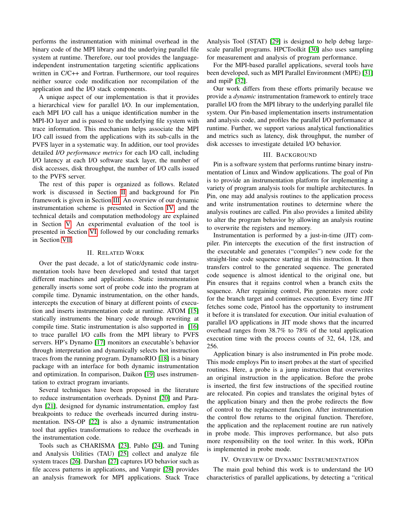performs the instrumentation with minimal overhead in the binary code of the MPI library and the underlying parallel file system at runtime. Therefore, our tool provides the languageindependent instrumentation targeting scientific applications written in C/C++ and Fortran. Furthermore, our tool requires neither source code modification nor recompilation of the application and the I/O stack components.

A unique aspect of our implementation is that it provides a hierarchical view for parallel I/O. In our implementation, each MPI I/O call has a unique identification number in the MPI-IO layer and is passed to the underlying file system with trace information. This mechanism helps associate the MPI I/O call issued from the applications with its sub-calls in the PVFS layer in a systematic way. In addition, our tool provides detailed *I/O performance metrics* for each I/O call, including I/O latency at each I/O software stack layer, the number of disk accesses, disk throughput, the number of I/O calls issued to the PVFS server.

The rest of this paper is organized as follows. Related work is discussed in Section [II](#page-1-0) and background for Pin framework is given in Section [III.](#page-1-1) An overview of our dynamic instrumentation scheme is presented in Section [IV,](#page-1-2) and the technical details and computation methodology are explained in Section [V.](#page-2-0) An experimental evaluation of the tool is presented in Section [VI,](#page-3-0) followed by our concluding remarks in Section [VII.](#page-4-0)

# II. RELATED WORK

<span id="page-1-0"></span>Over the past decade, a lot of static/dynamic code instrumentation tools have been developed and tested that target different machines and applications. Static instrumentation generally inserts some sort of probe code into the program at compile time. Dynamic instrumentation, on the other hands, intercepts the execution of binary at different points of execution and inserts instrumentation code at runtime. ATOM [\[15\]](#page-5-14) statically instruments the binary code through rewriting at compile time. Static instrumentation is also supported in [\[16\]](#page-5-15) to trace parallel I/O calls from the MPI library to PVFS servers. HP's Dynamo [\[17\]](#page-5-16) monitors an executable's behavior through interpretation and dynamically selects hot instruction traces from the running program. DynamoRIO [\[18\]](#page-5-17) is a binary package with an interface for both dynamic instrumentation and optimization. In comparison, Daikon [\[19\]](#page-5-18) uses instrumentation to extract program invariants.

Several techniques have been proposed in the literature to reduce instrumentation overheads. Dyninst [\[20\]](#page-5-19) and Paradyn [\[21\]](#page-5-20), designed for dynamic instrumentation, employ fast breakpoints to reduce the overheads incurred during instrumentation. INS-OP [\[22\]](#page-5-21) is also a dynamic instrumentation tool that applies transformations to reduce the overheads in the instrumentation code.

Tools such as CHARISMA [\[23\]](#page-5-22), Pablo [\[24\]](#page-5-23), and Tuning and Analysis Utilities (TAU) [\[25\]](#page-5-24) collect and analyze file system traces [\[26\]](#page-5-25). Darshan [\[27\]](#page-5-26) captures I/O behavior such as file access patterns in applications, and Vampir [\[28\]](#page-5-27) provides an analysis framework for MPI applications. Stack Trace

Analysis Tool (STAT) [\[29\]](#page-5-28) is designed to help debug largescale parallel programs. HPCToolkit [\[30\]](#page-5-29) also uses sampling for measurement and analysis of program performance.

For the MPI-based parallel applications, several tools have been developed, such as MPI Parallel Environment (MPE) [\[31\]](#page-5-30) and mpiP [\[32\]](#page-5-31).

Our work differs from these efforts primarily because we provide a *dynamic* instrumentation framework to entirely trace parallel I/O from the MPI library to the underlying parallel file system. Our Pin-based implementation inserts instrumentation and analysis code, and profiles the parallel I/O performance at runtime. Further, we support various analytical functionalities and metrics such as latency, disk throughput, the number of disk accesses to investigate detailed I/O behavior.

# III. BACKGROUND

<span id="page-1-1"></span>Pin is a software system that performs runtime binary instrumentation of Linux and Window applications. The goal of Pin is to provide an instrumentation platform for implementing a variety of program analysis tools for multiple architectures. In Pin, one may add analysis routines to the application process and write instrumentation routines to determine where the analysis routines are called. Pin also provides a limited ability to alter the program behavior by allowing an analysis routine to overwrite the registers and memory.

Instrumentation is performed by a just-in-time (JIT) compiler. Pin intercepts the execution of the first instruction of the executable and generates ("compiles") new code for the straight-line code sequence starting at this instruction. It then transfers control to the generated sequence. The generated code sequence is almost identical to the original one, but Pin ensures that it regains control when a branch exits the sequence. After regaining control, Pin generates more code for the branch target and continues execution. Every time JIT fetches some code, Pintool has the opportunity to instrument it before it is translated for execution. Our initial evaluation of parallel I/O applications in JIT mode shows that the incurred overhead ranges from 38.7% to 78% of the total application execution time with the process counts of 32, 64, 128, and 256.

Application binary is also instrumented in Pin probe mode. This mode employs Pin to insert probes at the start of specified routines. Here, a probe is a jump instruction that overwrites an original instruction in the application. Before the probe is inserted, the first few instructions of the specified routine are relocated. Pin copies and translates the original bytes of the application binary and then the probe redirects the flow of control to the replacement function. After instrumentation the control flow returns to the original function. Therefore, the application and the replacement routine are run natively in probe mode. This improves performance, but also puts more responsibility on the tool writer. In this work, IOPin is implemented in probe mode.

### IV. OVERVIEW OF DYNAMIC INSTRUMENTATION

<span id="page-1-2"></span>The main goal behind this work is to understand the I/O characteristics of parallel applications, by detecting a "critical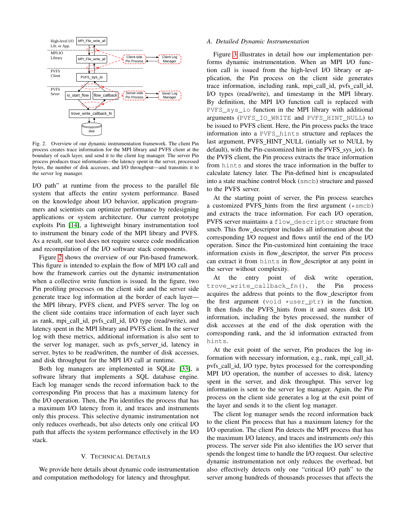

<span id="page-2-1"></span>Fig. 2. Overview of our dynamic instrumentation framework. The client Pin process creates trace information for the MPI library and PVFS client at the boundary of each layer, and send it to the client log manager. The server Pin process produces trace information—the latency spent in the server, processed bytes, the number of disk accesses, and I/O throughput—and transmits it to the server log manager.

I/O path" at runtime from the process to the parallel file system that affects the entire system performance. Based on the knowledge about I/O behavior, application programmers and scientists can optimize performance by redesigning applications or system architecture. Our current prototype exploits Pin [\[14\]](#page-5-13), a lightweight binary instrumentation tool to instrument the binary code of the MPI library and PVFS. As a result, our tool does not require source code modification and recompilation of the I/O software stack components.

Figure [2](#page-2-1) shows the overview of our Pin-based framework. This figure is intended to explain the flow of MPI I/O call and how the framework carries out the dynamic instrumentation when a collective write function is issued. In the figure, two Pin profiling processes on the client side and the server side generate trace log information at the border of each layer the MPI library, PVFS client, and PVFS server. The log on the client side contains trace information of each layer such as rank, mpi\_call\_id, pvfs\_call\_id, I/O type (read/write), and latency spent in the MPI library and PVFS client. In the server log with these metrics, additional information is also sent to the server log manager, such as pvfs server id, latency in server, bytes to be read/written, the number of disk accesses, and disk throughput for the MPI I/O call at runtime.

Both log managers are implemented in SQLite [\[33\]](#page-5-32), a software library that implements a SQL database engine. Each log manager sends the record information back to the corresponding Pin process that has a maximum latency for the I/O operation. Then, the Pin identifies the process that has a maximum I/O latency from it, and traces and instruments only this process. This selective dynamic instrumentation not only reduces overheads, but also detects only one critical I/O path that affects the system performance effectively in the I/O stack.

#### V. TECHNICAL DETAILS

<span id="page-2-0"></span>We provide here details about dynamic code instrumentation and computation methodology for latency and throughput.

#### *A. Detailed Dynamic Instrumentation*

Figure [3](#page-3-1) illustrates in detail how our implementation performs dynamic instrumentation. When an MPI I/O function call is issued from the high-level I/O library or application, the Pin process on the client side generates trace information, including rank, mpi call id, pvfs call id, I/O types (read/write), and timestamp in the MPI library. By definition, the MPI I/O function call is replaced with PVFS\_sys\_io function in the MPI library with additional arguments (PVFS\_IO\_WRITE and PVFS\_HINT\_NULL) to be issued to PVFS client. Here, the Pin process packs the trace information into a PVFS\_hints structure and replaces the last argument, PVFS HINT NULL (intially set to NULL by default), with the Pin-customized hint in the PVFS\_sys\_io(). In the PVFS client, the Pin process extracts the trace information from hints and stores the trace information in the buffer to calculate latency later. The Pin-defined hint is encapsulated into a state machine control block (smcb) structure and passed to the PVFS server.

At the starting point of server, the Pin process searches a customized PVFS hints from the first argument  $(*smcb)$ and extracts the trace information. For each I/O operation, PVFS server maintains a flow\_descriptor structure from smcb. This flow descriptor includes all information about the corresponding I/O request and flows until the end of the I/O operation. Since the Pin-customized hint containing the trace information exists in flow descriptor, the server Pin process can extract it from hints in flow descriptor at any point in the server without complexity.

At the entry point of disk write operation, trove\_write\_callback\_fn(), the Pin process acquires the address that points to the flow descriptor from the first argument (void \*user\_ptr) in the function. It then finds the PVFS hints from it and stores disk I/O information, including the bytes processed, the number of disk accesses at the end of the disk operation with the corresponding rank, and the id information extracted from hints.

At the exit point of the server, Pin produces the log information with necessary information, e.g., rank, mpi\_call\_id, pvfs call id, I/O type, bytes processed for the corresponding MPI I/O operation, the number of accesses to disk, latency spent in the server, and disk throughput. This server log information is sent to the server log manager. Again, the Pin process on the client side generates a log at the exit point of the layer and sends it to the client log manager.

The client log manager sends the record information back to the client Pin process that has a maximum latency for the I/O operation. The client Pin detects the MPI process that has the maximum I/O latency, and traces and instruments *only* this process. The server side Pin also identifies the I/O server that spends the longest time to handle the I/O request. Our selective dynamic instrumentation not only reduces the overhead, but also effectively detects only one "critical I/O path" to the server among hundreds of thousands processes that affects the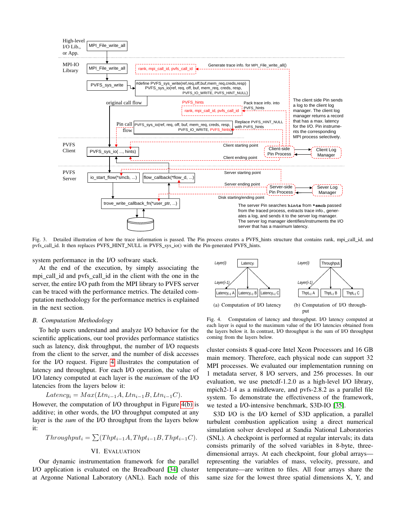

<span id="page-3-1"></span>Fig. 3. Detailed illustration of how the trace information is passed. The Pin process creates a PVFS hints structure that contains rank, mpi call id, and pvfs\_call\_id. It then replaces PVFS\_HINT\_NULL in PVFS\_sys\_io() with the Pin-generated PVFS\_hints.

system performance in the I/O software stack.

At the end of the execution, by simply associating the mpi\_call\_id and pvfs\_call\_id in the client with the one in the server, the entire I/O path from the MPI library to PVFS server can be traced with the performance metrics. The detailed computation methodology for the performance metrics is explained in the next section.

#### <span id="page-3-3"></span>Latency*<sup>i</sup>* Latency<sub>i-1</sub> A | Latency<sub>i-1</sub> B | Latency<sub>i-1</sub> C *Layer(i)* Layer(i-1 (a) Computation of I/O latency Throughput*<sup>i</sup>*  $Thpt<sub>i-1</sub>$  A  $|| Thpt<sub>i-1</sub>$  B  $|| Thpt<sub>i-1</sub>$  C *Layer(i)* Layer(i-(b) Computation of I/O throughput

## <span id="page-3-4"></span>*B. Computation Methodology*

To help users understand and analyze I/O behavior for the scientific applications, our tool provides performance statistics such as latency, disk throughput, the number of I/O requests from the client to the server, and the number of disk accesses for the I/O request. Figure [4](#page-3-2) illustrates the computation of latency and throughput. For each I/O operation, the value of I/O latency computed at each layer is the *maximum* of the I/O latencies from the layers below it:

$$
Latency_i = Max(Ltn_{i-1}A, Ltn_{i-1}B, Ltn_{i-1}C).
$$

However, the computation of I/O throughput in Figure [4\(b\)](#page-3-3) is additive; in other words, the I/O throughput computed at any layer is the *sum* of the I/O throughput from the layers below it:

$$
Throughput_i = \sum (Thpt_{i-1}A, Thpt_{i-1}B, Thpt_{i-1}C).
$$
  
VI. EVALUATION

<span id="page-3-0"></span>Our dynamic instrumentation framework for the parallel I/O application is evaluated on the Breadboard [\[34\]](#page-5-33) cluster at Argonne National Laboratory (ANL). Each node of this

<span id="page-3-2"></span>Fig. 4. Computation of latency and throughput. I/O latency computed at each layer is equal to the maximum value of the I/O latencies obtained from the layers below it. In contrast, I/O throughput is the sum of I/O throughput coming from the layers below.

cluster consists 8 quad-core Intel Xeon Processors and 16 GB main memory. Therefore, each physical node can support 32 MPI processes. We evaluated our implementation running on 1 metadata server, 8 I/O servers, and 256 processes. In our evaluation, we use pnetcdf-1.2.0 as a high-level I/O library, mpich2-1.4 as a middleware, and pvfs-2.8.2 as a parallel file system. To demonstrate the effectiveness of the framework, we tested a I/O-intensive benchmark, S3D-IO [\[35\]](#page-5-34).

S3D I/O is the I/O kernel of S3D application, a parallel turbulent combustion application using a direct numerical simulation solver developed at Sandia National Laboratories (SNL). A checkpoint is performed at regular intervals; its data consists primarily of the solved variables in 8-byte, threedimensional arrays. At each checkpoint, four global arrays representing the variables of mass, velocity, pressure, and temperature—are written to files. All four arrays share the same size for the lowest three spatial dimensions X, Y, and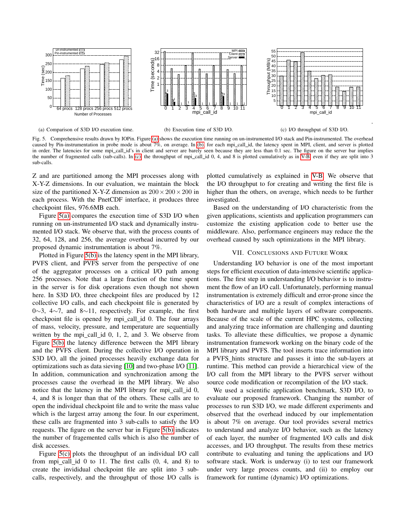<span id="page-4-1"></span>

(a) Comparison of S3D I/O execution time.

<span id="page-4-2"></span>(b) Execution time of S3D I/O.

<span id="page-4-3"></span>(c) I/O throughput of S3D I/O.

.

Fig. 5. Comprehensive results drawn by IOPin. Figure [\(a\)](#page-4-1) shows the execution time running on un-instrumented I/O stack and Pin-instrumented. The overhead caused by Pin-instrumentation in probe mode is about 7%, on average. In [\(b\),](#page-4-2) for each mpi\_call\_id, the latency spent in MPI, client, and server is plotted in order. The latencies for some mpi\_call\_id's in client and server are barely seen because they are less than 0.1 sec. The figure on the server bar implies the number of fragmented calls (sub-calls). In [\(c\),](#page-4-3) the throughput of mpi\_call\_id 0, 4, and 8 is plotted cumulatively as in [V-B,](#page-3-4) even if they are split into 3 sub-calls.

Z and are partitioned among the MPI processes along with X-Y-Z dimensions. In our evaluation, we maintain the block size of the partitioned X-Y-Z dimension as  $200 \times 200 \times 200$  in each process. With the PnetCDF interface, it produces three checkpoint files, 976.6MB each.

Figure [5\(a\)](#page-4-1) compares the execution time of S3D I/O when running on un-instrumented I/O stack and dynamically instrumented I/O stack. We observe that, with the process counts of 32, 64, 128, and 256, the average overhead incurred by our proposed dynamic instrumentation is about 7%.

Plotted in Figure [5\(b\)](#page-4-2) is the latency spent in the MPI library, PVFS client, and PVFS server from the perspective of one of the aggregator processes on a critical I/O path among 256 processes. Note that a large fraction of the time spent in the server is for disk operations even though not shown here. In S3D I/O, three checkpoint files are produced by 12 collective I/O calls, and each checkpoint file is generated by 0∼3, 4∼7, and 8∼11, respectively. For example, the first checkpoint file is opened by mpi\_call\_id 0. The four arrays of mass, velocity, pressure, and temperature are sequentially written by the mpi\_call\_id  $0, 1, 2$ , and  $3$ . We observe from Figure [5\(b\)](#page-4-2) the latency difference between the MPI library and the PVFS client. During the collective I/O operation in S3D I/O, all the joined processes heavily exchange data for optimizations such as data sieving [\[10\]](#page-5-9) and two-phase I/O [\[11\]](#page-5-10). In addition, communication and synchronization among the processes cause the overhead in the MPI library. We also notice that the latency in the MPI library for mpi\_call\_id 0, 4, and 8 is longer than that of the others. These calls are to open the individual checkpoint file and to write the mass value which is the largest array among the four. In our experiment, these calls are fragmented into 3 sub-calls to satisfy the I/O requests. The figure on the server bar in Figure [5\(b\)](#page-4-2) indicates the number of fragemented calls which is also the number of disk accesses.

Figure [5\(c\)](#page-4-3) plots the throughput of an individual I/O call from mpi call id 0 to 11. The first calls (0, 4, and 8) to create the invididual checkpoint file are split into 3 subcalls, respectively, and the throughput of those I/O calls is plotted cumulatively as explained in [V-B.](#page-3-4) We observe that the I/O throughput to for creating and writing the first file is higher than the others, on average, which needs to be further investigated.

Based on the understanding of I/O characteristic from the given applications, scientists and application programmers can customize the existing application code to better use the middleware. Also, performance engineers may reduce the the overhead caused by such optimizations in the MPI library.

# VII. CONCLUSIONS AND FUTURE WORK

<span id="page-4-0"></span>Understanding I/O behavior is one of the most important steps for efficient execution of data-intensive scientific applications. The first step in understanding I/O behavior is to instrument the flow of an I/O call. Unfortunately, performing manual instrumentation is extremely difficult and error-prone since the characteristics of I/O are a result of complex interactions of both hardware and multiple layers of software components. Because of the scale of the current HPC systems, collecting and analyzing trace information are challenging and daunting tasks. To alleviate these difficulties, we propose a dynamic instrumentation framework working on the binary code of the MPI library and PVFS. The tool inserts trace information into a PVFS hints structure and passes it into the sub-layers at runtime. This method can provide a hierarchical view of the I/O call from the MPI library to the PVFS server without source code modification or recompilation of the I/O stack.

We used a scientific application benchmark, S3D I/O, to evaluate our proposed framework. Changing the number of processes to run S3D I/O, we made different experiments and observed that the overhead induced by our implementation is about 7% on average. Our tool provides several metrics to understand and analyze I/O behavior, such as the latency of each layer, the number of fragmented I/O calls and disk accesses, and I/O throughput. The results from these metrics contribute to evaluating and tuning the applications and I/O software stack. Work is underway (i) to test our framework under very large process counts, and (ii) to employ our framework for runtime (dynamic) I/O optimizations.